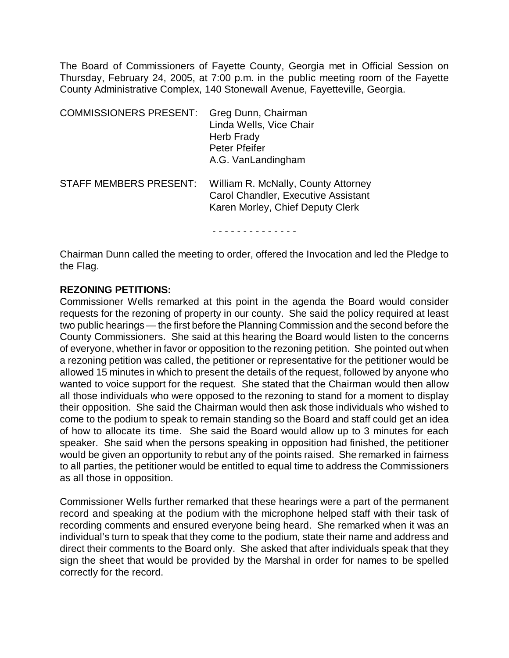The Board of Commissioners of Fayette County, Georgia met in Official Session on Thursday, February 24, 2005, at 7:00 p.m. in the public meeting room of the Fayette County Administrative Complex, 140 Stonewall Avenue, Fayetteville, Georgia.

| <b>COMMISSIONERS PRESENT:</b> | Greg Dunn, Chairman<br>Linda Wells, Vice Chair<br>Herb Frady<br>Peter Pfeifer<br>A.G. VanLandingham            |
|-------------------------------|----------------------------------------------------------------------------------------------------------------|
| <b>STAFF MEMBERS PRESENT:</b> | William R. McNally, County Attorney<br>Carol Chandler, Executive Assistant<br>Karen Morley, Chief Deputy Clerk |

Chairman Dunn called the meeting to order, offered the Invocation and led the Pledge to the Flag.

#### **REZONING PETITIONS:**

Commissioner Wells remarked at this point in the agenda the Board would consider requests for the rezoning of property in our county. She said the policy required at least two public hearings — the first before the Planning Commission and the second before the County Commissioners. She said at this hearing the Board would listen to the concerns of everyone, whether in favor or opposition to the rezoning petition. She pointed out when a rezoning petition was called, the petitioner or representative for the petitioner would be allowed 15 minutes in which to present the details of the request, followed by anyone who wanted to voice support for the request. She stated that the Chairman would then allow all those individuals who were opposed to the rezoning to stand for a moment to display their opposition. She said the Chairman would then ask those individuals who wished to come to the podium to speak to remain standing so the Board and staff could get an idea of how to allocate its time. She said the Board would allow up to 3 minutes for each speaker. She said when the persons speaking in opposition had finished, the petitioner would be given an opportunity to rebut any of the points raised. She remarked in fairness to all parties, the petitioner would be entitled to equal time to address the Commissioners as all those in opposition.

Commissioner Wells further remarked that these hearings were a part of the permanent record and speaking at the podium with the microphone helped staff with their task of recording comments and ensured everyone being heard. She remarked when it was an individual's turn to speak that they come to the podium, state their name and address and direct their comments to the Board only. She asked that after individuals speak that they sign the sheet that would be provided by the Marshal in order for names to be spelled correctly for the record.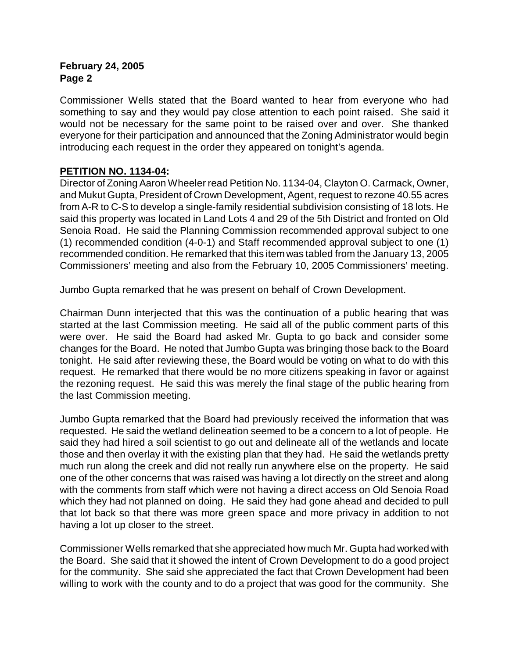Commissioner Wells stated that the Board wanted to hear from everyone who had something to say and they would pay close attention to each point raised. She said it would not be necessary for the same point to be raised over and over. She thanked everyone for their participation and announced that the Zoning Administrator would begin introducing each request in the order they appeared on tonight's agenda.

# **PETITION NO. 1134-04:**

Director of Zoning Aaron Wheeler read Petition No. 1134-04, Clayton O. Carmack, Owner, and Mukut Gupta, President of Crown Development, Agent, request to rezone 40.55 acres from A-R to C-S to develop a single-family residential subdivision consisting of 18 lots. He said this property was located in Land Lots 4 and 29 of the 5th District and fronted on Old Senoia Road. He said the Planning Commission recommended approval subject to one (1) recommended condition (4-0-1) and Staff recommended approval subject to one (1) recommended condition. He remarked that this item was tabled from the January 13, 2005 Commissioners' meeting and also from the February 10, 2005 Commissioners' meeting.

Jumbo Gupta remarked that he was present on behalf of Crown Development.

Chairman Dunn interjected that this was the continuation of a public hearing that was started at the last Commission meeting. He said all of the public comment parts of this were over. He said the Board had asked Mr. Gupta to go back and consider some changes for the Board. He noted that Jumbo Gupta was bringing those back to the Board tonight. He said after reviewing these, the Board would be voting on what to do with this request. He remarked that there would be no more citizens speaking in favor or against the rezoning request. He said this was merely the final stage of the public hearing from the last Commission meeting.

Jumbo Gupta remarked that the Board had previously received the information that was requested. He said the wetland delineation seemed to be a concern to a lot of people. He said they had hired a soil scientist to go out and delineate all of the wetlands and locate those and then overlay it with the existing plan that they had. He said the wetlands pretty much run along the creek and did not really run anywhere else on the property. He said one of the other concerns that was raised was having a lot directly on the street and along with the comments from staff which were not having a direct access on Old Senoia Road which they had not planned on doing. He said they had gone ahead and decided to pull that lot back so that there was more green space and more privacy in addition to not having a lot up closer to the street.

Commissioner Wells remarked that she appreciated how much Mr. Gupta had worked with the Board. She said that it showed the intent of Crown Development to do a good project for the community. She said she appreciated the fact that Crown Development had been willing to work with the county and to do a project that was good for the community. She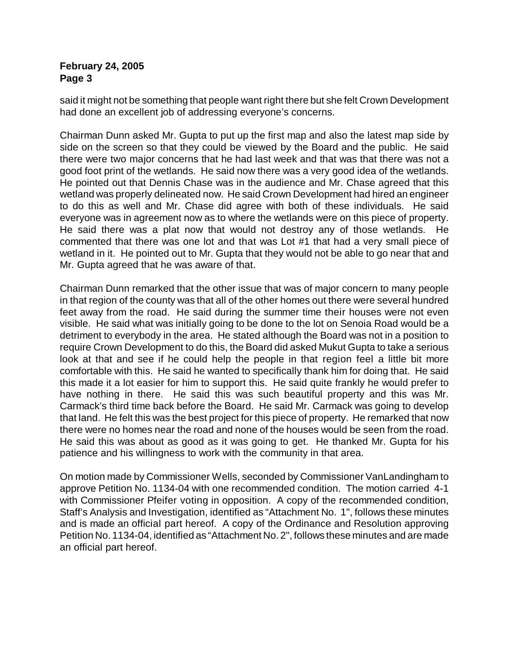said it might not be something that people want right there but she felt Crown Development had done an excellent job of addressing everyone's concerns.

Chairman Dunn asked Mr. Gupta to put up the first map and also the latest map side by side on the screen so that they could be viewed by the Board and the public. He said there were two major concerns that he had last week and that was that there was not a good foot print of the wetlands. He said now there was a very good idea of the wetlands. He pointed out that Dennis Chase was in the audience and Mr. Chase agreed that this wetland was properly delineated now. He said Crown Development had hired an engineer to do this as well and Mr. Chase did agree with both of these individuals. He said everyone was in agreement now as to where the wetlands were on this piece of property. He said there was a plat now that would not destroy any of those wetlands. He commented that there was one lot and that was Lot #1 that had a very small piece of wetland in it. He pointed out to Mr. Gupta that they would not be able to go near that and Mr. Gupta agreed that he was aware of that.

Chairman Dunn remarked that the other issue that was of major concern to many people in that region of the county was that all of the other homes out there were several hundred feet away from the road. He said during the summer time their houses were not even visible. He said what was initially going to be done to the lot on Senoia Road would be a detriment to everybody in the area. He stated although the Board was not in a position to require Crown Development to do this, the Board did asked Mukut Gupta to take a serious look at that and see if he could help the people in that region feel a little bit more comfortable with this. He said he wanted to specifically thank him for doing that. He said this made it a lot easier for him to support this. He said quite frankly he would prefer to have nothing in there. He said this was such beautiful property and this was Mr. Carmack's third time back before the Board. He said Mr. Carmack was going to develop that land. He felt this was the best project for this piece of property. He remarked that now there were no homes near the road and none of the houses would be seen from the road. He said this was about as good as it was going to get. He thanked Mr. Gupta for his patience and his willingness to work with the community in that area.

On motion made by Commissioner Wells, seconded by Commissioner VanLandingham to approve Petition No. 1134-04 with one recommended condition. The motion carried 4-1 with Commissioner Pfeifer voting in opposition. A copy of the recommended condition, Staff's Analysis and Investigation, identified as "Attachment No. 1", follows these minutes and is made an official part hereof. A copy of the Ordinance and Resolution approving Petition No. 1134-04, identified as "Attachment No. 2", follows these minutes and are made an official part hereof.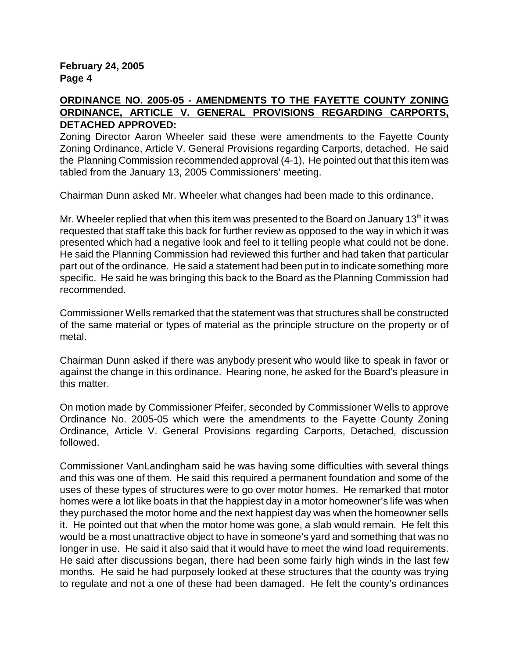### **ORDINANCE NO. 2005-05 - AMENDMENTS TO THE FAYETTE COUNTY ZONING ORDINANCE, ARTICLE V. GENERAL PROVISIONS REGARDING CARPORTS, DETACHED APPROVED:**

Zoning Director Aaron Wheeler said these were amendments to the Fayette County Zoning Ordinance, Article V. General Provisions regarding Carports, detached. He said the Planning Commission recommended approval (4-1).He pointed out that this item was tabled from the January 13, 2005 Commissioners' meeting.

Chairman Dunn asked Mr. Wheeler what changes had been made to this ordinance.

Mr. Wheeler replied that when this item was presented to the Board on January 13<sup>th</sup> it was requested that staff take this back for further review as opposed to the way in which it was presented which had a negative look and feel to it telling people what could not be done. He said the Planning Commission had reviewed this further and had taken that particular part out of the ordinance. He said a statement had been put in to indicate something more specific. He said he was bringing this back to the Board as the Planning Commission had recommended.

Commissioner Wells remarked that the statement was that structures shall be constructed of the same material or types of material as the principle structure on the property or of metal.

Chairman Dunn asked if there was anybody present who would like to speak in favor or against the change in this ordinance. Hearing none, he asked for the Board's pleasure in this matter.

On motion made by Commissioner Pfeifer, seconded by Commissioner Wells to approve Ordinance No. 2005-05 which were the amendments to the Fayette County Zoning Ordinance, Article V. General Provisions regarding Carports, Detached, discussion followed.

Commissioner VanLandingham said he was having some difficulties with several things and this was one of them. He said this required a permanent foundation and some of the uses of these types of structures were to go over motor homes. He remarked that motor homes were a lot like boats in that the happiest day in a motor homeowner's life was when they purchased the motor home and the next happiest day was when the homeowner sells it. He pointed out that when the motor home was gone, a slab would remain. He felt this would be a most unattractive object to have in someone's yard and something that was no longer in use. He said it also said that it would have to meet the wind load requirements. He said after discussions began, there had been some fairly high winds in the last few months. He said he had purposely looked at these structures that the county was trying to regulate and not a one of these had been damaged. He felt the county's ordinances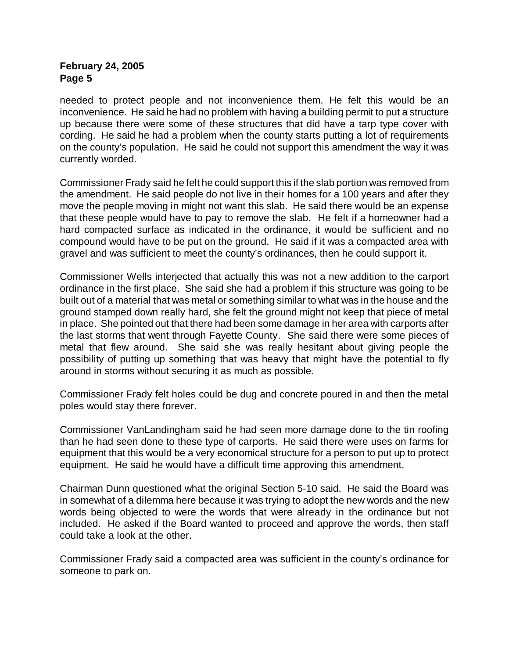needed to protect people and not inconvenience them. He felt this would be an inconvenience. He said he had no problem with having a building permit to put a structure up because there were some of these structures that did have a tarp type cover with cording. He said he had a problem when the county starts putting a lot of requirements on the county's population. He said he could not support this amendment the way it was currently worded.

Commissioner Frady said he felt he could support this if the slab portion was removed from the amendment. He said people do not live in their homes for a 100 years and after they move the people moving in might not want this slab. He said there would be an expense that these people would have to pay to remove the slab. He felt if a homeowner had a hard compacted surface as indicated in the ordinance, it would be sufficient and no compound would have to be put on the ground. He said if it was a compacted area with gravel and was sufficient to meet the county's ordinances, then he could support it.

Commissioner Wells interjected that actually this was not a new addition to the carport ordinance in the first place. She said she had a problem if this structure was going to be built out of a material that was metal or something similar to what was in the house and the ground stamped down really hard, she felt the ground might not keep that piece of metal in place. She pointed out that there had been some damage in her area with carports after the last storms that went through Fayette County. She said there were some pieces of metal that flew around. She said she was really hesitant about giving people the possibility of putting up something that was heavy that might have the potential to fly around in storms without securing it as much as possible.

Commissioner Frady felt holes could be dug and concrete poured in and then the metal poles would stay there forever.

Commissioner VanLandingham said he had seen more damage done to the tin roofing than he had seen done to these type of carports. He said there were uses on farms for equipment that this would be a very economical structure for a person to put up to protect equipment. He said he would have a difficult time approving this amendment.

Chairman Dunn questioned what the original Section 5-10 said. He said the Board was in somewhat of a dilemma here because it was trying to adopt the new words and the new words being objected to were the words that were already in the ordinance but not included. He asked if the Board wanted to proceed and approve the words, then staff could take a look at the other.

Commissioner Frady said a compacted area was sufficient in the county's ordinance for someone to park on.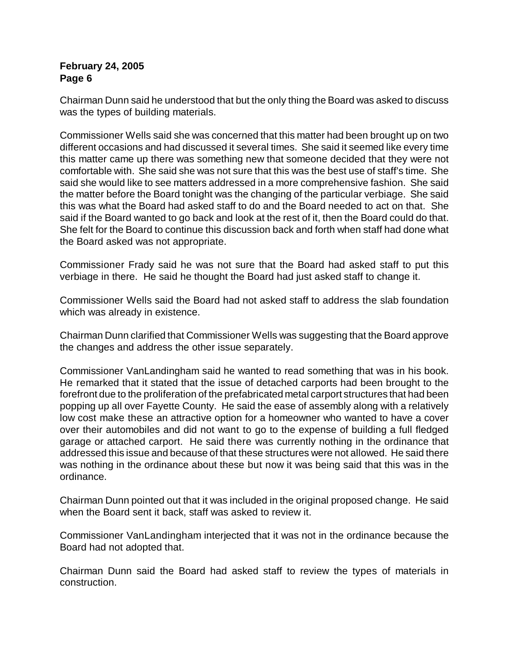Chairman Dunn said he understood that but the only thing the Board was asked to discuss was the types of building materials.

Commissioner Wells said she was concerned that this matter had been brought up on two different occasions and had discussed it several times. She said it seemed like every time this matter came up there was something new that someone decided that they were not comfortable with. She said she was not sure that this was the best use of staff's time. She said she would like to see matters addressed in a more comprehensive fashion. She said the matter before the Board tonight was the changing of the particular verbiage. She said this was what the Board had asked staff to do and the Board needed to act on that. She said if the Board wanted to go back and look at the rest of it, then the Board could do that. She felt for the Board to continue this discussion back and forth when staff had done what the Board asked was not appropriate.

Commissioner Frady said he was not sure that the Board had asked staff to put this verbiage in there. He said he thought the Board had just asked staff to change it.

Commissioner Wells said the Board had not asked staff to address the slab foundation which was already in existence.

Chairman Dunn clarified that Commissioner Wells was suggesting that the Board approve the changes and address the other issue separately.

Commissioner VanLandingham said he wanted to read something that was in his book. He remarked that it stated that the issue of detached carports had been brought to the forefront due to the proliferation of the prefabricated metal carport structures that had been popping up all over Fayette County. He said the ease of assembly along with a relatively low cost make these an attractive option for a homeowner who wanted to have a cover over their automobiles and did not want to go to the expense of building a full fledged garage or attached carport. He said there was currently nothing in the ordinance that addressed this issue and because of that these structures were not allowed. He said there was nothing in the ordinance about these but now it was being said that this was in the ordinance.

Chairman Dunn pointed out that it was included in the original proposed change. He said when the Board sent it back, staff was asked to review it.

Commissioner VanLandingham interjected that it was not in the ordinance because the Board had not adopted that.

Chairman Dunn said the Board had asked staff to review the types of materials in construction.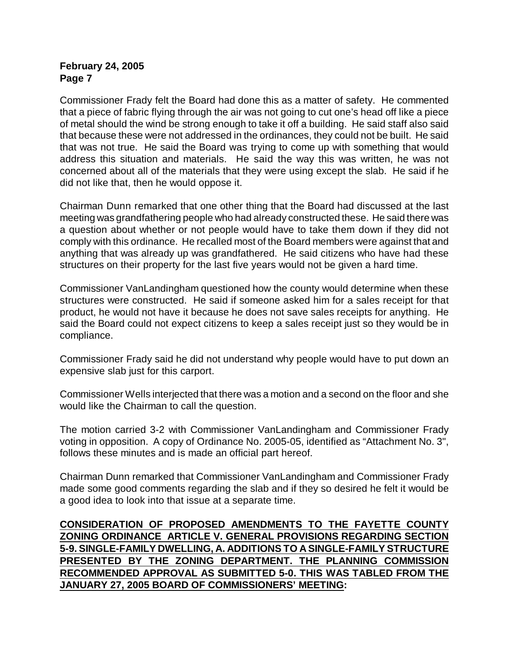Commissioner Frady felt the Board had done this as a matter of safety. He commented that a piece of fabric flying through the air was not going to cut one's head off like a piece of metal should the wind be strong enough to take it off a building. He said staff also said that because these were not addressed in the ordinances, they could not be built. He said that was not true. He said the Board was trying to come up with something that would address this situation and materials. He said the way this was written, he was not concerned about all of the materials that they were using except the slab. He said if he did not like that, then he would oppose it.

Chairman Dunn remarked that one other thing that the Board had discussed at the last meeting was grandfathering people who had already constructed these. He said there was a question about whether or not people would have to take them down if they did not comply with this ordinance. He recalled most of the Board members were against that and anything that was already up was grandfathered. He said citizens who have had these structures on their property for the last five years would not be given a hard time.

Commissioner VanLandingham questioned how the county would determine when these structures were constructed. He said if someone asked him for a sales receipt for that product, he would not have it because he does not save sales receipts for anything. He said the Board could not expect citizens to keep a sales receipt just so they would be in compliance.

Commissioner Frady said he did not understand why people would have to put down an expensive slab just for this carport.

Commissioner Wells interjected that there was a motion and a second on the floor and she would like the Chairman to call the question.

The motion carried 3-2 with Commissioner VanLandingham and Commissioner Frady voting in opposition. A copy of Ordinance No. 2005-05, identified as "Attachment No. 3", follows these minutes and is made an official part hereof.

Chairman Dunn remarked that Commissioner VanLandingham and Commissioner Frady made some good comments regarding the slab and if they so desired he felt it would be a good idea to look into that issue at a separate time.

**CONSIDERATION OF PROPOSED AMENDMENTS TO THE FAYETTE COUNTY ZONING ORDINANCE ARTICLE V. GENERAL PROVISIONS REGARDING SECTION 5-9. SINGLE-FAMILY DWELLING, A. ADDITIONS TO A SINGLE-FAMILY STRUCTURE PRESENTED BY THE ZONING DEPARTMENT. THE PLANNING COMMISSION RECOMMENDED APPROVAL AS SUBMITTED 5-0. THIS WAS TABLED FROM THE JANUARY 27, 2005 BOARD OF COMMISSIONERS' MEETING:**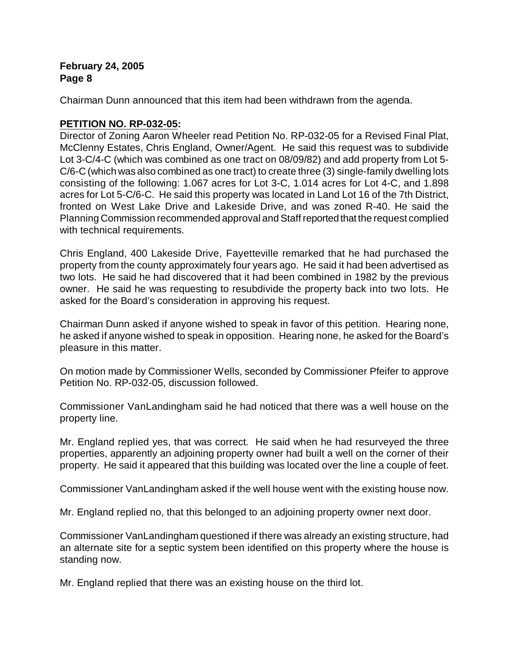Chairman Dunn announced that this item had been withdrawn from the agenda.

# **PETITION NO. RP-032-05:**

Director of Zoning Aaron Wheeler read Petition No. RP-032-05 for a Revised Final Plat, McClenny Estates, Chris England, Owner/Agent. He said this request was to subdivide Lot 3-C/4-C (which was combined as one tract on 08/09/82) and add property from Lot 5- C/6-C (which was also combined as one tract) to create three (3) single-family dwelling lots consisting of the following: 1.067 acres for Lot 3-C, 1.014 acres for Lot 4-C, and 1.898 acres for Lot 5-C/6-C. He said this property was located in Land Lot 16 of the 7th District, fronted on West Lake Drive and Lakeside Drive, and was zoned R-40. He said the Planning Commission recommended approval and Staff reported that the request complied with technical requirements.

Chris England, 400 Lakeside Drive, Fayetteville remarked that he had purchased the property from the county approximately four years ago. He said it had been advertised as two lots. He said he had discovered that it had been combined in 1982 by the previous owner. He said he was requesting to resubdivide the property back into two lots. He asked for the Board's consideration in approving his request.

Chairman Dunn asked if anyone wished to speak in favor of this petition. Hearing none, he asked if anyone wished to speak in opposition. Hearing none, he asked for the Board's pleasure in this matter.

On motion made by Commissioner Wells, seconded by Commissioner Pfeifer to approve Petition No. RP-032-05, discussion followed.

Commissioner VanLandingham said he had noticed that there was a well house on the property line.

Mr. England replied yes, that was correct. He said when he had resurveyed the three properties, apparently an adjoining property owner had built a well on the corner of their property. He said it appeared that this building was located over the line a couple of feet.

Commissioner VanLandingham asked if the well house went with the existing house now.

Mr. England replied no, that this belonged to an adjoining property owner next door.

Commissioner VanLandingham questioned if there was already an existing structure, had an alternate site for a septic system been identified on this property where the house is standing now.

Mr. England replied that there was an existing house on the third lot.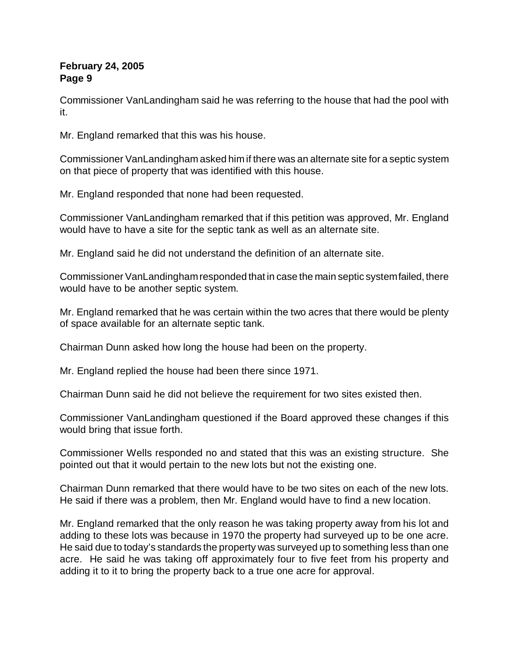Commissioner VanLandingham said he was referring to the house that had the pool with it.

Mr. England remarked that this was his house.

Commissioner VanLandingham asked him if there was an alternate site for a septic system on that piece of property that was identified with this house.

Mr. England responded that none had been requested.

Commissioner VanLandingham remarked that if this petition was approved, Mr. England would have to have a site for the septic tank as well as an alternate site.

Mr. England said he did not understand the definition of an alternate site.

Commissioner VanLandingham responded that in case the main septic system failed, there would have to be another septic system.

Mr. England remarked that he was certain within the two acres that there would be plenty of space available for an alternate septic tank.

Chairman Dunn asked how long the house had been on the property.

Mr. England replied the house had been there since 1971.

Chairman Dunn said he did not believe the requirement for two sites existed then.

Commissioner VanLandingham questioned if the Board approved these changes if this would bring that issue forth.

Commissioner Wells responded no and stated that this was an existing structure. She pointed out that it would pertain to the new lots but not the existing one.

Chairman Dunn remarked that there would have to be two sites on each of the new lots. He said if there was a problem, then Mr. England would have to find a new location.

Mr. England remarked that the only reason he was taking property away from his lot and adding to these lots was because in 1970 the property had surveyed up to be one acre. He said due to today's standards the property was surveyed up to something less than one acre. He said he was taking off approximately four to five feet from his property and adding it to it to bring the property back to a true one acre for approval.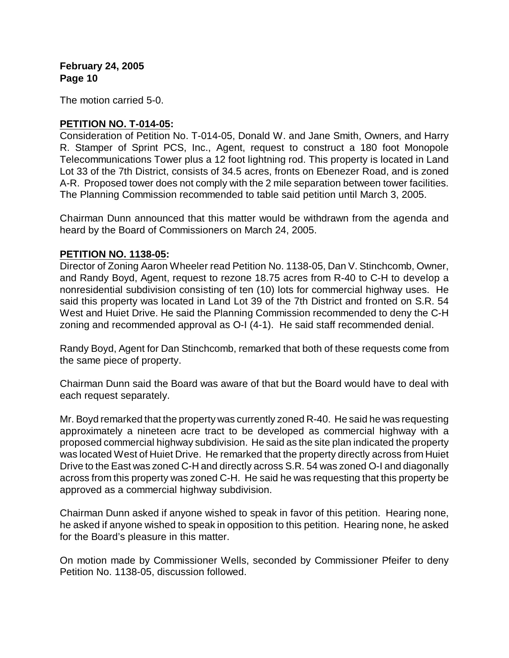The motion carried 5-0.

#### **PETITION NO. T-014-05:**

Consideration of Petition No. T-014-05, Donald W. and Jane Smith, Owners, and Harry R. Stamper of Sprint PCS, Inc., Agent, request to construct a 180 foot Monopole Telecommunications Tower plus a 12 foot lightning rod. This property is located in Land Lot 33 of the 7th District, consists of 34.5 acres, fronts on Ebenezer Road, and is zoned A-R. Proposed tower does not comply with the 2 mile separation between tower facilities. The Planning Commission recommended to table said petition until March 3, 2005.

Chairman Dunn announced that this matter would be withdrawn from the agenda and heard by the Board of Commissioners on March 24, 2005.

# **PETITION NO. 1138-05:**

Director of Zoning Aaron Wheeler read Petition No. 1138-05, Dan V. Stinchcomb, Owner, and Randy Boyd, Agent, request to rezone 18.75 acres from R-40 to C-H to develop a nonresidential subdivision consisting of ten (10) lots for commercial highway uses. He said this property was located in Land Lot 39 of the 7th District and fronted on S.R. 54 West and Huiet Drive. He said the Planning Commission recommended to deny the C-H zoning and recommended approval as O-I (4-1). He said staff recommended denial.

Randy Boyd, Agent for Dan Stinchcomb, remarked that both of these requests come from the same piece of property.

Chairman Dunn said the Board was aware of that but the Board would have to deal with each request separately.

Mr. Boyd remarked that the property was currently zoned R-40. He said he was requesting approximately a nineteen acre tract to be developed as commercial highway with a proposed commercial highway subdivision. He said as the site plan indicated the property was located West of Huiet Drive. He remarked that the property directly across from Huiet Drive to the East was zoned C-H and directly across S.R. 54 was zoned O-I and diagonally across from this property was zoned C-H. He said he was requesting that this property be approved as a commercial highway subdivision.

Chairman Dunn asked if anyone wished to speak in favor of this petition. Hearing none, he asked if anyone wished to speak in opposition to this petition. Hearing none, he asked for the Board's pleasure in this matter.

On motion made by Commissioner Wells, seconded by Commissioner Pfeifer to deny Petition No. 1138-05, discussion followed.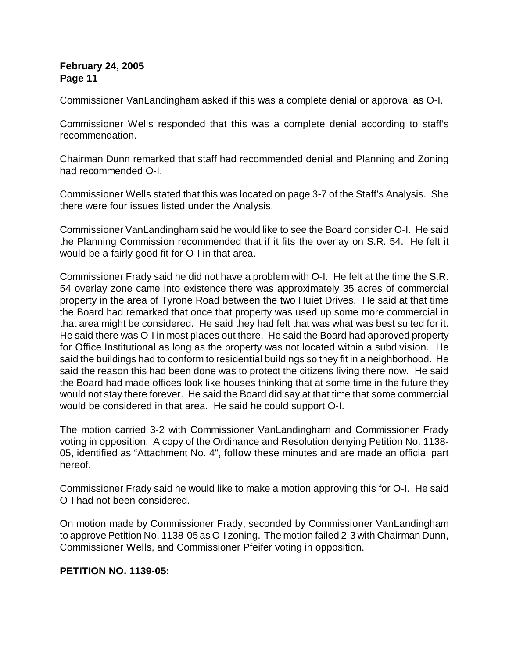Commissioner VanLandingham asked if this was a complete denial or approval as O-I.

Commissioner Wells responded that this was a complete denial according to staff's recommendation.

Chairman Dunn remarked that staff had recommended denial and Planning and Zoning had recommended O-I.

Commissioner Wells stated that this was located on page 3-7 of the Staff's Analysis. She there were four issues listed under the Analysis.

Commissioner VanLandingham said he would like to see the Board consider O-I. He said the Planning Commission recommended that if it fits the overlay on S.R. 54. He felt it would be a fairly good fit for O-I in that area.

Commissioner Frady said he did not have a problem with O-I. He felt at the time the S.R. 54 overlay zone came into existence there was approximately 35 acres of commercial property in the area of Tyrone Road between the two Huiet Drives. He said at that time the Board had remarked that once that property was used up some more commercial in that area might be considered. He said they had felt that was what was best suited for it. He said there was O-I in most places out there. He said the Board had approved property for Office Institutional as long as the property was not located within a subdivision. He said the buildings had to conform to residential buildings so they fit in a neighborhood. He said the reason this had been done was to protect the citizens living there now. He said the Board had made offices look like houses thinking that at some time in the future they would not stay there forever. He said the Board did say at that time that some commercial would be considered in that area. He said he could support O-I.

The motion carried 3-2 with Commissioner VanLandingham and Commissioner Frady voting in opposition. A copy of the Ordinance and Resolution denying Petition No. 1138- 05, identified as "Attachment No. 4", follow these minutes and are made an official part hereof.

Commissioner Frady said he would like to make a motion approving this for O-I. He said O-I had not been considered.

On motion made by Commissioner Frady, seconded by Commissioner VanLandingham to approve Petition No. 1138-05 as O-I zoning. The motion failed 2-3 with Chairman Dunn, Commissioner Wells, and Commissioner Pfeifer voting in opposition.

# **PETITION NO. 1139-05:**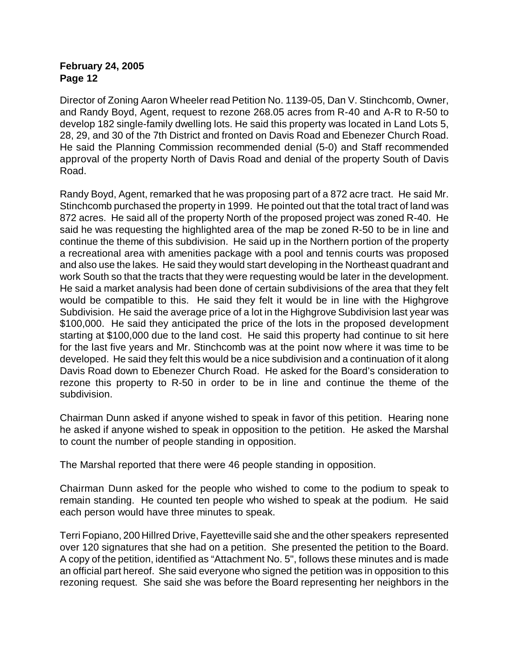Director of Zoning Aaron Wheeler read Petition No. 1139-05, Dan V. Stinchcomb, Owner, and Randy Boyd, Agent, request to rezone 268.05 acres from R-40 and A-R to R-50 to develop 182 single-family dwelling lots. He said this property was located in Land Lots 5, 28, 29, and 30 of the 7th District and fronted on Davis Road and Ebenezer Church Road. He said the Planning Commission recommended denial (5-0) and Staff recommended approval of the property North of Davis Road and denial of the property South of Davis Road.

Randy Boyd, Agent, remarked that he was proposing part of a 872 acre tract. He said Mr. Stinchcomb purchased the property in 1999. He pointed out that the total tract of land was 872 acres. He said all of the property North of the proposed project was zoned R-40. He said he was requesting the highlighted area of the map be zoned R-50 to be in line and continue the theme of this subdivision. He said up in the Northern portion of the property a recreational area with amenities package with a pool and tennis courts was proposed and also use the lakes. He said they would start developing in the Northeast quadrant and work South so that the tracts that they were requesting would be later in the development. He said a market analysis had been done of certain subdivisions of the area that they felt would be compatible to this. He said they felt it would be in line with the Highgrove Subdivision. He said the average price of a lot in the Highgrove Subdivision last year was \$100,000. He said they anticipated the price of the lots in the proposed development starting at \$100,000 due to the land cost. He said this property had continue to sit here for the last five years and Mr. Stinchcomb was at the point now where it was time to be developed. He said they felt this would be a nice subdivision and a continuation of it along Davis Road down to Ebenezer Church Road. He asked for the Board's consideration to rezone this property to R-50 in order to be in line and continue the theme of the subdivision.

Chairman Dunn asked if anyone wished to speak in favor of this petition. Hearing none he asked if anyone wished to speak in opposition to the petition. He asked the Marshal to count the number of people standing in opposition.

The Marshal reported that there were 46 people standing in opposition.

Chairman Dunn asked for the people who wished to come to the podium to speak to remain standing. He counted ten people who wished to speak at the podium. He said each person would have three minutes to speak.

Terri Fopiano, 200 Hillred Drive, Fayetteville said she and the other speakers represented over 120 signatures that she had on a petition. She presented the petition to the Board. A copy of the petition, identified as "Attachment No. 5", follows these minutes and is made an official part hereof. She said everyone who signed the petition was in opposition to this rezoning request. She said she was before the Board representing her neighbors in the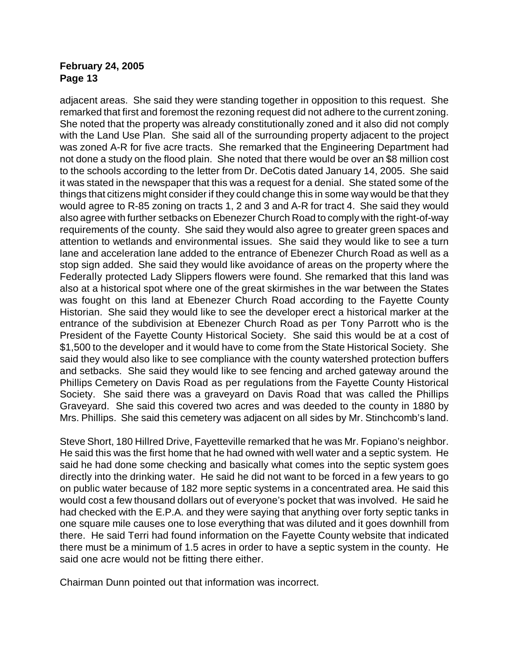adjacent areas. She said they were standing together in opposition to this request. She remarked that first and foremost the rezoning request did not adhere to the current zoning. She noted that the property was already constitutionally zoned and it also did not comply with the Land Use Plan. She said all of the surrounding property adjacent to the project was zoned A-R for five acre tracts. She remarked that the Engineering Department had not done a study on the flood plain. She noted that there would be over an \$8 million cost to the schools according to the letter from Dr. DeCotis dated January 14, 2005. She said it was stated in the newspaper that this was a request for a denial. She stated some of the things that citizens might consider if they could change this in some way would be that they would agree to R-85 zoning on tracts 1, 2 and 3 and A-R for tract 4. She said they would also agree with further setbacks on Ebenezer Church Road to comply with the right-of-way requirements of the county. She said they would also agree to greater green spaces and attention to wetlands and environmental issues. She said they would like to see a turn lane and acceleration lane added to the entrance of Ebenezer Church Road as well as a stop sign added. She said they would like avoidance of areas on the property where the Federally protected Lady Slippers flowers were found. She remarked that this land was also at a historical spot where one of the great skirmishes in the war between the States was fought on this land at Ebenezer Church Road according to the Fayette County Historian. She said they would like to see the developer erect a historical marker at the entrance of the subdivision at Ebenezer Church Road as per Tony Parrott who is the President of the Fayette County Historical Society. She said this would be at a cost of \$1,500 to the developer and it would have to come from the State Historical Society. She said they would also like to see compliance with the county watershed protection buffers and setbacks. She said they would like to see fencing and arched gateway around the Phillips Cemetery on Davis Road as per regulations from the Fayette County Historical Society. She said there was a graveyard on Davis Road that was called the Phillips Graveyard. She said this covered two acres and was deeded to the county in 1880 by Mrs. Phillips. She said this cemetery was adjacent on all sides by Mr. Stinchcomb's land.

Steve Short, 180 Hillred Drive, Fayetteville remarked that he was Mr. Fopiano's neighbor. He said this was the first home that he had owned with well water and a septic system. He said he had done some checking and basically what comes into the septic system goes directly into the drinking water. He said he did not want to be forced in a few years to go on public water because of 182 more septic systems in a concentrated area. He said this would cost a few thousand dollars out of everyone's pocket that was involved. He said he had checked with the E.P.A. and they were saying that anything over forty septic tanks in one square mile causes one to lose everything that was diluted and it goes downhill from there. He said Terri had found information on the Fayette County website that indicated there must be a minimum of 1.5 acres in order to have a septic system in the county. He said one acre would not be fitting there either.

Chairman Dunn pointed out that information was incorrect.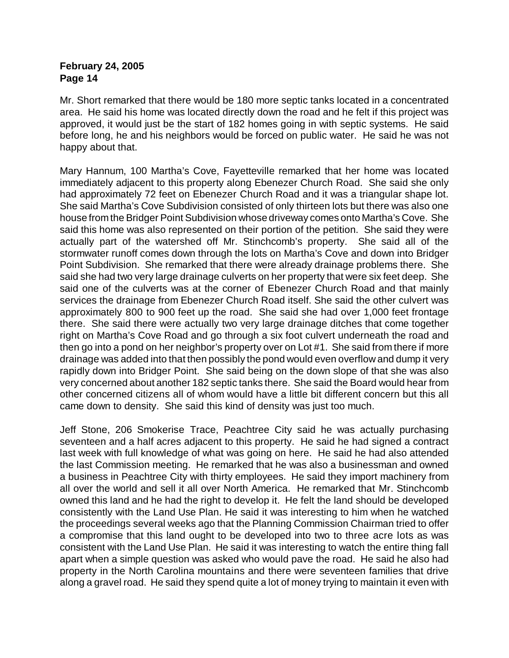Mr. Short remarked that there would be 180 more septic tanks located in a concentrated area. He said his home was located directly down the road and he felt if this project was approved, it would just be the start of 182 homes going in with septic systems. He said before long, he and his neighbors would be forced on public water. He said he was not happy about that.

Mary Hannum, 100 Martha's Cove, Fayetteville remarked that her home was located immediately adjacent to this property along Ebenezer Church Road. She said she only had approximately 72 feet on Ebenezer Church Road and it was a triangular shape lot. She said Martha's Cove Subdivision consisted of only thirteen lots but there was also one house from the Bridger Point Subdivision whose driveway comes onto Martha's Cove. She said this home was also represented on their portion of the petition. She said they were actually part of the watershed off Mr. Stinchcomb's property. She said all of the stormwater runoff comes down through the lots on Martha's Cove and down into Bridger Point Subdivision. She remarked that there were already drainage problems there. She said she had two very large drainage culverts on her property that were six feet deep. She said one of the culverts was at the corner of Ebenezer Church Road and that mainly services the drainage from Ebenezer Church Road itself. She said the other culvert was approximately 800 to 900 feet up the road. She said she had over 1,000 feet frontage there. She said there were actually two very large drainage ditches that come together right on Martha's Cove Road and go through a six foot culvert underneath the road and then go into a pond on her neighbor's property over on Lot #1. She said from there if more drainage was added into that then possibly the pond would even overflow and dump it very rapidly down into Bridger Point. She said being on the down slope of that she was also very concerned about another 182 septic tanks there. She said the Board would hear from other concerned citizens all of whom would have a little bit different concern but this all came down to density. She said this kind of density was just too much.

Jeff Stone, 206 Smokerise Trace, Peachtree City said he was actually purchasing seventeen and a half acres adjacent to this property. He said he had signed a contract last week with full knowledge of what was going on here. He said he had also attended the last Commission meeting. He remarked that he was also a businessman and owned a business in Peachtree City with thirty employees. He said they import machinery from all over the world and sell it all over North America. He remarked that Mr. Stinchcomb owned this land and he had the right to develop it. He felt the land should be developed consistently with the Land Use Plan. He said it was interesting to him when he watched the proceedings several weeks ago that the Planning Commission Chairman tried to offer a compromise that this land ought to be developed into two to three acre lots as was consistent with the Land Use Plan. He said it was interesting to watch the entire thing fall apart when a simple question was asked who would pave the road. He said he also had property in the North Carolina mountains and there were seventeen families that drive along a gravel road. He said they spend quite a lot of money trying to maintain it even with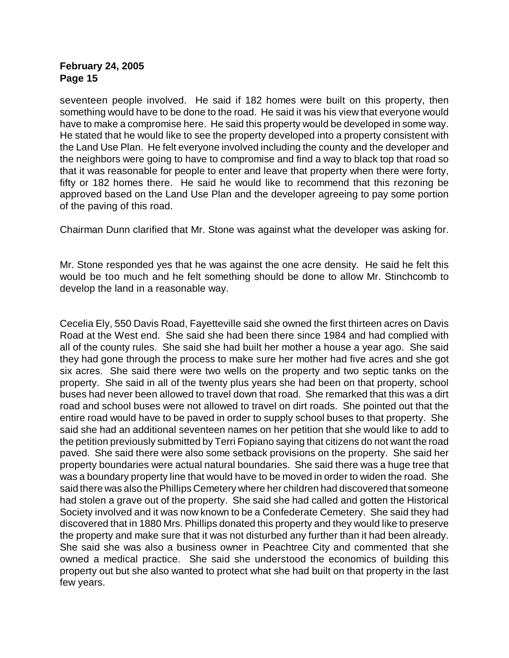seventeen people involved. He said if 182 homes were built on this property, then something would have to be done to the road. He said it was his view that everyone would have to make a compromise here. He said this property would be developed in some way. He stated that he would like to see the property developed into a property consistent with the Land Use Plan. He felt everyone involved including the county and the developer and the neighbors were going to have to compromise and find a way to black top that road so that it was reasonable for people to enter and leave that property when there were forty, fifty or 182 homes there. He said he would like to recommend that this rezoning be approved based on the Land Use Plan and the developer agreeing to pay some portion of the paving of this road.

Chairman Dunn clarified that Mr. Stone was against what the developer was asking for.

Mr. Stone responded yes that he was against the one acre density. He said he felt this would be too much and he felt something should be done to allow Mr. Stinchcomb to develop the land in a reasonable way.

Cecelia Ely, 550 Davis Road, Fayetteville said she owned the first thirteen acres on Davis Road at the West end. She said she had been there since 1984 and had complied with all of the county rules. She said she had built her mother a house a year ago. She said they had gone through the process to make sure her mother had five acres and she got six acres. She said there were two wells on the property and two septic tanks on the property. She said in all of the twenty plus years she had been on that property, school buses had never been allowed to travel down that road. She remarked that this was a dirt road and school buses were not allowed to travel on dirt roads. She pointed out that the entire road would have to be paved in order to supply school buses to that property. She said she had an additional seventeen names on her petition that she would like to add to the petition previously submitted by Terri Fopiano saying that citizens do not want the road paved. She said there were also some setback provisions on the property. She said her property boundaries were actual natural boundaries. She said there was a huge tree that was a boundary property line that would have to be moved in order to widen the road. She said there was also the Phillips Cemetery where her children had discovered that someone had stolen a grave out of the property. She said she had called and gotten the Historical Society involved and it was now known to be a Confederate Cemetery. She said they had discovered that in 1880 Mrs. Phillips donated this property and they would like to preserve the property and make sure that it was not disturbed any further than it had been already. She said she was also a business owner in Peachtree City and commented that she owned a medical practice. She said she understood the economics of building this property out but she also wanted to protect what she had built on that property in the last few years.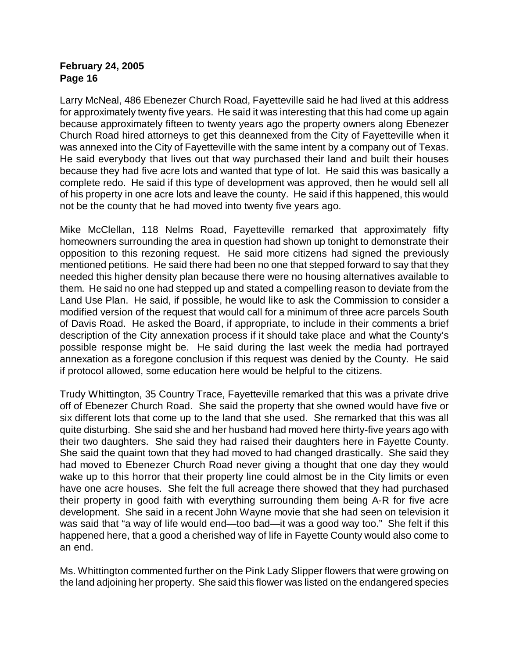Larry McNeal, 486 Ebenezer Church Road, Fayetteville said he had lived at this address for approximately twenty five years. He said it was interesting that this had come up again because approximately fifteen to twenty years ago the property owners along Ebenezer Church Road hired attorneys to get this deannexed from the City of Fayetteville when it was annexed into the City of Fayetteville with the same intent by a company out of Texas. He said everybody that lives out that way purchased their land and built their houses because they had five acre lots and wanted that type of lot. He said this was basically a complete redo. He said if this type of development was approved, then he would sell all of his property in one acre lots and leave the county. He said if this happened, this would not be the county that he had moved into twenty five years ago.

Mike McClellan, 118 Nelms Road, Fayetteville remarked that approximately fifty homeowners surrounding the area in question had shown up tonight to demonstrate their opposition to this rezoning request. He said more citizens had signed the previously mentioned petitions. He said there had been no one that stepped forward to say that they needed this higher density plan because there were no housing alternatives available to them. He said no one had stepped up and stated a compelling reason to deviate from the Land Use Plan. He said, if possible, he would like to ask the Commission to consider a modified version of the request that would call for a minimum of three acre parcels South of Davis Road. He asked the Board, if appropriate, to include in their comments a brief description of the City annexation process if it should take place and what the County's possible response might be. He said during the last week the media had portrayed annexation as a foregone conclusion if this request was denied by the County. He said if protocol allowed, some education here would be helpful to the citizens.

Trudy Whittington, 35 Country Trace, Fayetteville remarked that this was a private drive off of Ebenezer Church Road. She said the property that she owned would have five or six different lots that come up to the land that she used. She remarked that this was all quite disturbing. She said she and her husband had moved here thirty-five years ago with their two daughters. She said they had raised their daughters here in Fayette County. She said the quaint town that they had moved to had changed drastically. She said they had moved to Ebenezer Church Road never giving a thought that one day they would wake up to this horror that their property line could almost be in the City limits or even have one acre houses. She felt the full acreage there showed that they had purchased their property in good faith with everything surrounding them being A-R for five acre development. She said in a recent John Wayne movie that she had seen on television it was said that "a way of life would end—too bad—it was a good way too." She felt if this happened here, that a good a cherished way of life in Fayette County would also come to an end.

Ms. Whittington commented further on the Pink Lady Slipper flowers that were growing on the land adjoining her property. She said this flower was listed on the endangered species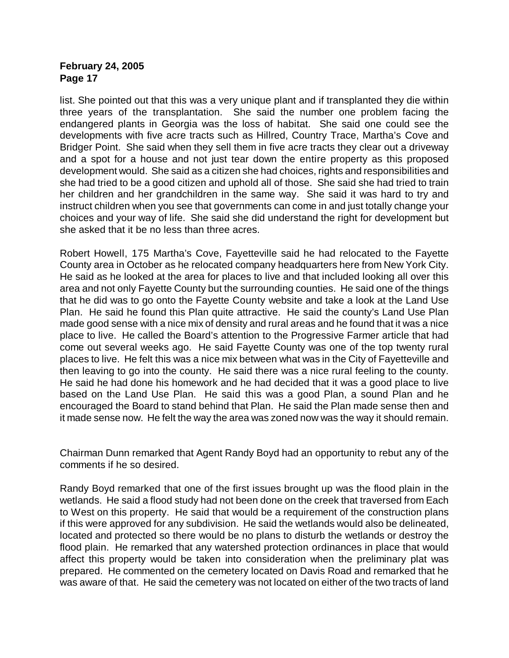list. She pointed out that this was a very unique plant and if transplanted they die within three years of the transplantation. She said the number one problem facing the endangered plants in Georgia was the loss of habitat. She said one could see the developments with five acre tracts such as Hillred, Country Trace, Martha's Cove and Bridger Point. She said when they sell them in five acre tracts they clear out a driveway and a spot for a house and not just tear down the entire property as this proposed development would. She said as a citizen she had choices, rights and responsibilities and she had tried to be a good citizen and uphold all of those. She said she had tried to train her children and her grandchildren in the same way. She said it was hard to try and instruct children when you see that governments can come in and just totally change your choices and your way of life. She said she did understand the right for development but she asked that it be no less than three acres.

Robert Howell, 175 Martha's Cove, Fayetteville said he had relocated to the Fayette County area in October as he relocated company headquarters here from New York City. He said as he looked at the area for places to live and that included looking all over this area and not only Fayette County but the surrounding counties. He said one of the things that he did was to go onto the Fayette County website and take a look at the Land Use Plan. He said he found this Plan quite attractive. He said the county's Land Use Plan made good sense with a nice mix of density and rural areas and he found that it was a nice place to live. He called the Board's attention to the Progressive Farmer article that had come out several weeks ago. He said Fayette County was one of the top twenty rural places to live. He felt this was a nice mix between what was in the City of Fayetteville and then leaving to go into the county. He said there was a nice rural feeling to the county. He said he had done his homework and he had decided that it was a good place to live based on the Land Use Plan. He said this was a good Plan, a sound Plan and he encouraged the Board to stand behind that Plan. He said the Plan made sense then and it made sense now. He felt the way the area was zoned now was the way it should remain.

Chairman Dunn remarked that Agent Randy Boyd had an opportunity to rebut any of the comments if he so desired.

Randy Boyd remarked that one of the first issues brought up was the flood plain in the wetlands. He said a flood study had not been done on the creek that traversed from Each to West on this property. He said that would be a requirement of the construction plans if this were approved for any subdivision. He said the wetlands would also be delineated, located and protected so there would be no plans to disturb the wetlands or destroy the flood plain. He remarked that any watershed protection ordinances in place that would affect this property would be taken into consideration when the preliminary plat was prepared. He commented on the cemetery located on Davis Road and remarked that he was aware of that. He said the cemetery was not located on either of the two tracts of land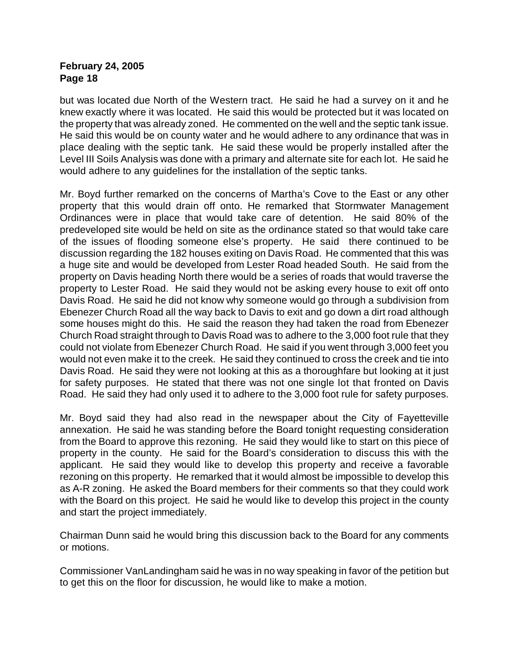but was located due North of the Western tract. He said he had a survey on it and he knew exactly where it was located. He said this would be protected but it was located on the property that was already zoned. He commented on the well and the septic tank issue. He said this would be on county water and he would adhere to any ordinance that was in place dealing with the septic tank. He said these would be properly installed after the Level III Soils Analysis was done with a primary and alternate site for each lot. He said he would adhere to any guidelines for the installation of the septic tanks.

Mr. Boyd further remarked on the concerns of Martha's Cove to the East or any other property that this would drain off onto. He remarked that Stormwater Management Ordinances were in place that would take care of detention. He said 80% of the predeveloped site would be held on site as the ordinance stated so that would take care of the issues of flooding someone else's property. He said there continued to be discussion regarding the 182 houses exiting on Davis Road. He commented that this was a huge site and would be developed from Lester Road headed South. He said from the property on Davis heading North there would be a series of roads that would traverse the property to Lester Road. He said they would not be asking every house to exit off onto Davis Road. He said he did not know why someone would go through a subdivision from Ebenezer Church Road all the way back to Davis to exit and go down a dirt road although some houses might do this. He said the reason they had taken the road from Ebenezer Church Road straight through to Davis Road was to adhere to the 3,000 foot rule that they could not violate from Ebenezer Church Road. He said if you went through 3,000 feet you would not even make it to the creek. He said they continued to cross the creek and tie into Davis Road. He said they were not looking at this as a thoroughfare but looking at it just for safety purposes. He stated that there was not one single lot that fronted on Davis Road. He said they had only used it to adhere to the 3,000 foot rule for safety purposes.

Mr. Boyd said they had also read in the newspaper about the City of Fayetteville annexation. He said he was standing before the Board tonight requesting consideration from the Board to approve this rezoning. He said they would like to start on this piece of property in the county. He said for the Board's consideration to discuss this with the applicant. He said they would like to develop this property and receive a favorable rezoning on this property. He remarked that it would almost be impossible to develop this as A-R zoning. He asked the Board members for their comments so that they could work with the Board on this project. He said he would like to develop this project in the county and start the project immediately.

Chairman Dunn said he would bring this discussion back to the Board for any comments or motions.

Commissioner VanLandingham said he was in no way speaking in favor of the petition but to get this on the floor for discussion, he would like to make a motion.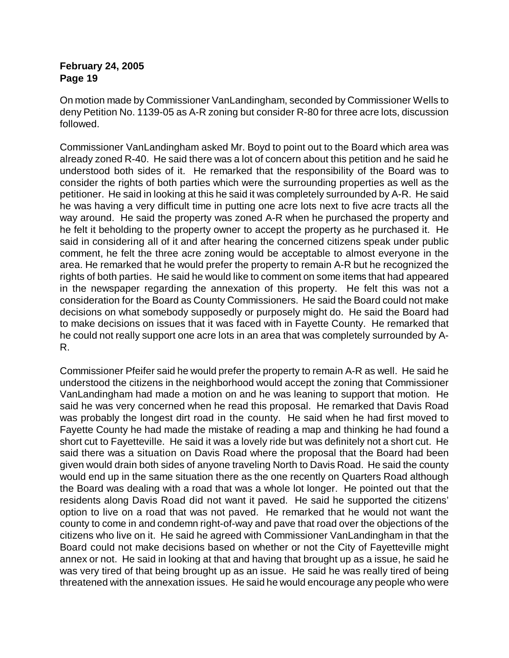On motion made by Commissioner VanLandingham, seconded by Commissioner Wells to deny Petition No. 1139-05 as A-R zoning but consider R-80 for three acre lots, discussion followed.

Commissioner VanLandingham asked Mr. Boyd to point out to the Board which area was already zoned R-40. He said there was a lot of concern about this petition and he said he understood both sides of it. He remarked that the responsibility of the Board was to consider the rights of both parties which were the surrounding properties as well as the petitioner. He said in looking at this he said it was completely surrounded by A-R. He said he was having a very difficult time in putting one acre lots next to five acre tracts all the way around. He said the property was zoned A-R when he purchased the property and he felt it beholding to the property owner to accept the property as he purchased it. He said in considering all of it and after hearing the concerned citizens speak under public comment, he felt the three acre zoning would be acceptable to almost everyone in the area. He remarked that he would prefer the property to remain A-R but he recognized the rights of both parties. He said he would like to comment on some items that had appeared in the newspaper regarding the annexation of this property. He felt this was not a consideration for the Board as County Commissioners. He said the Board could not make decisions on what somebody supposedly or purposely might do. He said the Board had to make decisions on issues that it was faced with in Fayette County. He remarked that he could not really support one acre lots in an area that was completely surrounded by A-R.

Commissioner Pfeifer said he would prefer the property to remain A-R as well. He said he understood the citizens in the neighborhood would accept the zoning that Commissioner VanLandingham had made a motion on and he was leaning to support that motion. He said he was very concerned when he read this proposal. He remarked that Davis Road was probably the longest dirt road in the county. He said when he had first moved to Fayette County he had made the mistake of reading a map and thinking he had found a short cut to Fayetteville. He said it was a lovely ride but was definitely not a short cut. He said there was a situation on Davis Road where the proposal that the Board had been given would drain both sides of anyone traveling North to Davis Road. He said the county would end up in the same situation there as the one recently on Quarters Road although the Board was dealing with a road that was a whole lot longer. He pointed out that the residents along Davis Road did not want it paved. He said he supported the citizens' option to live on a road that was not paved. He remarked that he would not want the county to come in and condemn right-of-way and pave that road over the objections of the citizens who live on it. He said he agreed with Commissioner VanLandingham in that the Board could not make decisions based on whether or not the City of Fayetteville might annex or not. He said in looking at that and having that brought up as a issue, he said he was very tired of that being brought up as an issue. He said he was really tired of being threatened with the annexation issues. He said he would encourage any people who were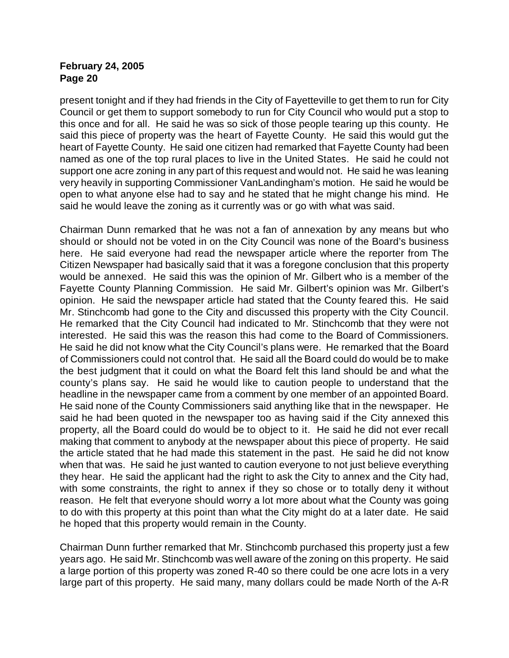present tonight and if they had friends in the City of Fayetteville to get them to run for City Council or get them to support somebody to run for City Council who would put a stop to this once and for all. He said he was so sick of those people tearing up this county. He said this piece of property was the heart of Fayette County. He said this would gut the heart of Fayette County. He said one citizen had remarked that Fayette County had been named as one of the top rural places to live in the United States. He said he could not support one acre zoning in any part of this request and would not. He said he was leaning very heavily in supporting Commissioner VanLandingham's motion. He said he would be open to what anyone else had to say and he stated that he might change his mind. He said he would leave the zoning as it currently was or go with what was said.

Chairman Dunn remarked that he was not a fan of annexation by any means but who should or should not be voted in on the City Council was none of the Board's business here. He said everyone had read the newspaper article where the reporter from The Citizen Newspaper had basically said that it was a foregone conclusion that this property would be annexed. He said this was the opinion of Mr. Gilbert who is a member of the Fayette County Planning Commission. He said Mr. Gilbert's opinion was Mr. Gilbert's opinion. He said the newspaper article had stated that the County feared this. He said Mr. Stinchcomb had gone to the City and discussed this property with the City Council. He remarked that the City Council had indicated to Mr. Stinchcomb that they were not interested. He said this was the reason this had come to the Board of Commissioners. He said he did not know what the City Council's plans were. He remarked that the Board of Commissioners could not control that. He said all the Board could do would be to make the best judgment that it could on what the Board felt this land should be and what the county's plans say. He said he would like to caution people to understand that the headline in the newspaper came from a comment by one member of an appointed Board. He said none of the County Commissioners said anything like that in the newspaper. He said he had been quoted in the newspaper too as having said if the City annexed this property, all the Board could do would be to object to it. He said he did not ever recall making that comment to anybody at the newspaper about this piece of property. He said the article stated that he had made this statement in the past. He said he did not know when that was. He said he just wanted to caution everyone to not just believe everything they hear. He said the applicant had the right to ask the City to annex and the City had, with some constraints, the right to annex if they so chose or to totally deny it without reason. He felt that everyone should worry a lot more about what the County was going to do with this property at this point than what the City might do at a later date. He said he hoped that this property would remain in the County.

Chairman Dunn further remarked that Mr. Stinchcomb purchased this property just a few years ago. He said Mr. Stinchcomb was well aware of the zoning on this property. He said a large portion of this property was zoned R-40 so there could be one acre lots in a very large part of this property. He said many, many dollars could be made North of the A-R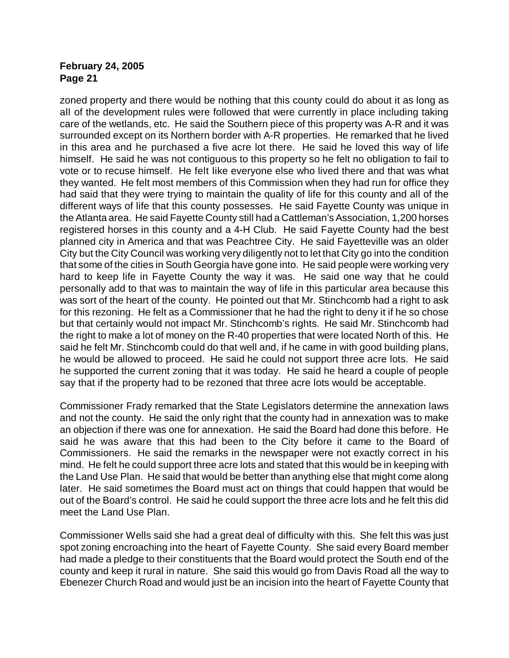zoned property and there would be nothing that this county could do about it as long as all of the development rules were followed that were currently in place including taking care of the wetlands, etc. He said the Southern piece of this property was A-R and it was surrounded except on its Northern border with A-R properties. He remarked that he lived in this area and he purchased a five acre lot there. He said he loved this way of life himself. He said he was not contiguous to this property so he felt no obligation to fail to vote or to recuse himself. He felt like everyone else who lived there and that was what they wanted. He felt most members of this Commission when they had run for office they had said that they were trying to maintain the quality of life for this county and all of the different ways of life that this county possesses. He said Fayette County was unique in the Atlanta area. He said Fayette County still had a Cattleman's Association, 1,200 horses registered horses in this county and a 4-H Club. He said Fayette County had the best planned city in America and that was Peachtree City. He said Fayetteville was an older City but the City Council was working very diligently not to let that City go into the condition that some of the cities in South Georgia have gone into. He said people were working very hard to keep life in Fayette County the way it was. He said one way that he could personally add to that was to maintain the way of life in this particular area because this was sort of the heart of the county. He pointed out that Mr. Stinchcomb had a right to ask for this rezoning. He felt as a Commissioner that he had the right to deny it if he so chose but that certainly would not impact Mr. Stinchcomb's rights. He said Mr. Stinchcomb had the right to make a lot of money on the R-40 properties that were located North of this. He said he felt Mr. Stinchcomb could do that well and, if he came in with good building plans, he would be allowed to proceed. He said he could not support three acre lots. He said he supported the current zoning that it was today. He said he heard a couple of people say that if the property had to be rezoned that three acre lots would be acceptable.

Commissioner Frady remarked that the State Legislators determine the annexation laws and not the county. He said the only right that the county had in annexation was to make an objection if there was one for annexation. He said the Board had done this before. He said he was aware that this had been to the City before it came to the Board of Commissioners. He said the remarks in the newspaper were not exactly correct in his mind. He felt he could support three acre lots and stated that this would be in keeping with the Land Use Plan. He said that would be better than anything else that might come along later. He said sometimes the Board must act on things that could happen that would be out of the Board's control. He said he could support the three acre lots and he felt this did meet the Land Use Plan.

Commissioner Wells said she had a great deal of difficulty with this. She felt this was just spot zoning encroaching into the heart of Fayette County. She said every Board member had made a pledge to their constituents that the Board would protect the South end of the county and keep it rural in nature. She said this would go from Davis Road all the way to Ebenezer Church Road and would just be an incision into the heart of Fayette County that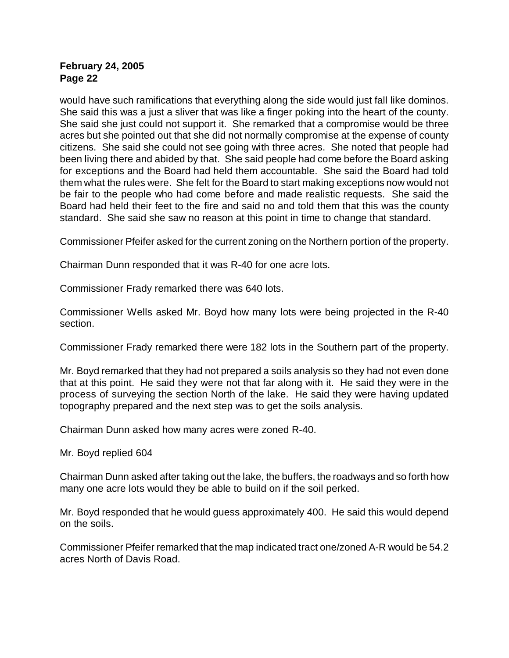would have such ramifications that everything along the side would just fall like dominos. She said this was a just a sliver that was like a finger poking into the heart of the county. She said she just could not support it. She remarked that a compromise would be three acres but she pointed out that she did not normally compromise at the expense of county citizens. She said she could not see going with three acres. She noted that people had been living there and abided by that. She said people had come before the Board asking for exceptions and the Board had held them accountable. She said the Board had told them what the rules were. She felt for the Board to start making exceptions now would not be fair to the people who had come before and made realistic requests. She said the Board had held their feet to the fire and said no and told them that this was the county standard. She said she saw no reason at this point in time to change that standard.

Commissioner Pfeifer asked for the current zoning on the Northern portion of the property.

Chairman Dunn responded that it was R-40 for one acre lots.

Commissioner Frady remarked there was 640 lots.

Commissioner Wells asked Mr. Boyd how many lots were being projected in the R-40 section.

Commissioner Frady remarked there were 182 lots in the Southern part of the property.

Mr. Boyd remarked that they had not prepared a soils analysis so they had not even done that at this point. He said they were not that far along with it. He said they were in the process of surveying the section North of the lake. He said they were having updated topography prepared and the next step was to get the soils analysis.

Chairman Dunn asked how many acres were zoned R-40.

Mr. Boyd replied 604

Chairman Dunn asked after taking out the lake, the buffers, the roadways and so forth how many one acre lots would they be able to build on if the soil perked.

Mr. Boyd responded that he would guess approximately 400. He said this would depend on the soils.

Commissioner Pfeifer remarked that the map indicated tract one/zoned A-R would be 54.2 acres North of Davis Road.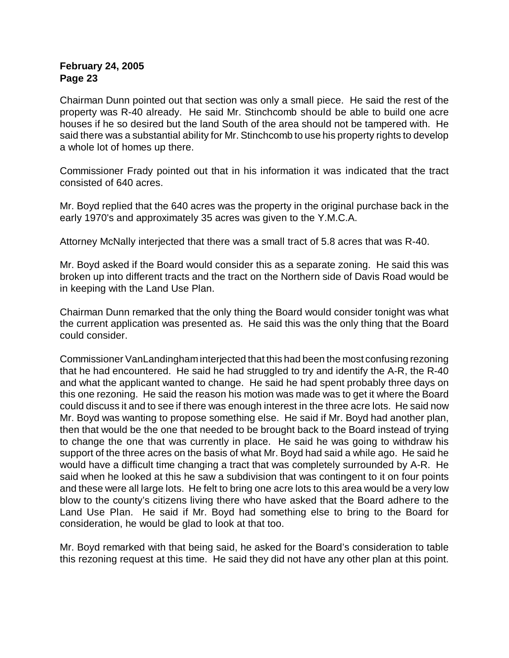Chairman Dunn pointed out that section was only a small piece. He said the rest of the property was R-40 already. He said Mr. Stinchcomb should be able to build one acre houses if he so desired but the land South of the area should not be tampered with. He said there was a substantial ability for Mr. Stinchcomb to use his property rights to develop a whole lot of homes up there.

Commissioner Frady pointed out that in his information it was indicated that the tract consisted of 640 acres.

Mr. Boyd replied that the 640 acres was the property in the original purchase back in the early 1970's and approximately 35 acres was given to the Y.M.C.A.

Attorney McNally interjected that there was a small tract of 5.8 acres that was R-40.

Mr. Boyd asked if the Board would consider this as a separate zoning. He said this was broken up into different tracts and the tract on the Northern side of Davis Road would be in keeping with the Land Use Plan.

Chairman Dunn remarked that the only thing the Board would consider tonight was what the current application was presented as. He said this was the only thing that the Board could consider.

Commissioner VanLandingham interjected that this had been the most confusing rezoning that he had encountered. He said he had struggled to try and identify the A-R, the R-40 and what the applicant wanted to change. He said he had spent probably three days on this one rezoning. He said the reason his motion was made was to get it where the Board could discuss it and to see if there was enough interest in the three acre lots. He said now Mr. Boyd was wanting to propose something else. He said if Mr. Boyd had another plan, then that would be the one that needed to be brought back to the Board instead of trying to change the one that was currently in place. He said he was going to withdraw his support of the three acres on the basis of what Mr. Boyd had said a while ago. He said he would have a difficult time changing a tract that was completely surrounded by A-R. He said when he looked at this he saw a subdivision that was contingent to it on four points and these were all large lots. He felt to bring one acre lots to this area would be a very low blow to the county's citizens living there who have asked that the Board adhere to the Land Use Plan. He said if Mr. Boyd had something else to bring to the Board for consideration, he would be glad to look at that too.

Mr. Boyd remarked with that being said, he asked for the Board's consideration to table this rezoning request at this time. He said they did not have any other plan at this point.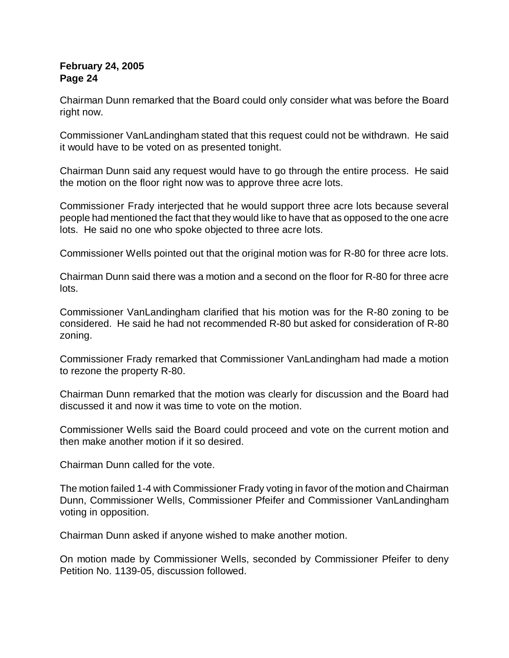Chairman Dunn remarked that the Board could only consider what was before the Board right now.

Commissioner VanLandingham stated that this request could not be withdrawn. He said it would have to be voted on as presented tonight.

Chairman Dunn said any request would have to go through the entire process. He said the motion on the floor right now was to approve three acre lots.

Commissioner Frady interjected that he would support three acre lots because several people had mentioned the fact that they would like to have that as opposed to the one acre lots. He said no one who spoke objected to three acre lots.

Commissioner Wells pointed out that the original motion was for R-80 for three acre lots.

Chairman Dunn said there was a motion and a second on the floor for R-80 for three acre lots.

Commissioner VanLandingham clarified that his motion was for the R-80 zoning to be considered. He said he had not recommended R-80 but asked for consideration of R-80 zoning.

Commissioner Frady remarked that Commissioner VanLandingham had made a motion to rezone the property R-80.

Chairman Dunn remarked that the motion was clearly for discussion and the Board had discussed it and now it was time to vote on the motion.

Commissioner Wells said the Board could proceed and vote on the current motion and then make another motion if it so desired.

Chairman Dunn called for the vote.

The motion failed 1-4 with Commissioner Frady voting in favor of the motion and Chairman Dunn, Commissioner Wells, Commissioner Pfeifer and Commissioner VanLandingham voting in opposition.

Chairman Dunn asked if anyone wished to make another motion.

On motion made by Commissioner Wells, seconded by Commissioner Pfeifer to deny Petition No. 1139-05, discussion followed.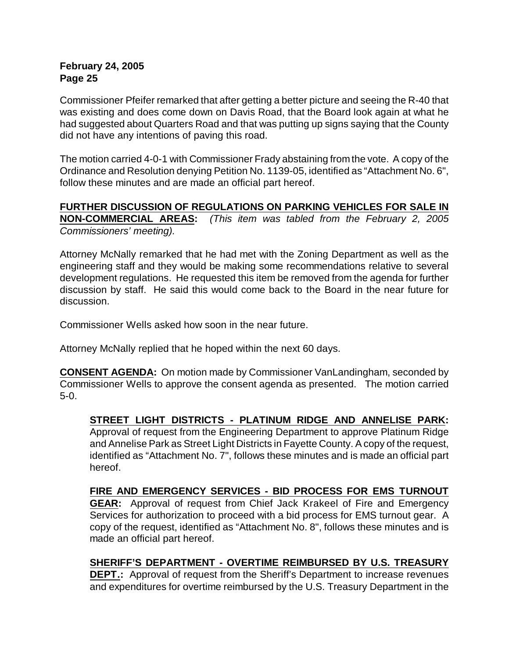Commissioner Pfeifer remarked that after getting a better picture and seeing the R-40 that was existing and does come down on Davis Road, that the Board look again at what he had suggested about Quarters Road and that was putting up signs saying that the County did not have any intentions of paving this road.

The motion carried 4-0-1 with Commissioner Frady abstaining from the vote. A copy of the Ordinance and Resolution denying Petition No. 1139-05, identified as "Attachment No. 6", follow these minutes and are made an official part hereof.

# **FURTHER DISCUSSION OF REGULATIONS ON PARKING VEHICLES FOR SALE IN NON-COMMERCIAL AREAS:** *(This item was tabled from the February 2, 2005 Commissioners' meeting).*

Attorney McNally remarked that he had met with the Zoning Department as well as the engineering staff and they would be making some recommendations relative to several development regulations. He requested this item be removed from the agenda for further discussion by staff. He said this would come back to the Board in the near future for discussion.

Commissioner Wells asked how soon in the near future.

Attorney McNally replied that he hoped within the next 60 days.

**CONSENT AGENDA:** On motion made by Commissioner VanLandingham, seconded by Commissioner Wells to approve the consent agenda as presented. The motion carried 5-0.

# **STREET LIGHT DISTRICTS - PLATINUM RIDGE AND ANNELISE PARK:**

Approval of request from the Engineering Department to approve Platinum Ridge and Annelise Park as Street Light Districts in Fayette County. A copy of the request, identified as "Attachment No. 7", follows these minutes and is made an official part hereof.

# **FIRE AND EMERGENCY SERVICES - BID PROCESS FOR EMS TURNOUT**

**GEAR:** Approval of request from Chief Jack Krakeel of Fire and Emergency Services for authorization to proceed with a bid process for EMS turnout gear. A copy of the request, identified as "Attachment No. 8", follows these minutes and is made an official part hereof.

# **SHERIFF'S DEPARTMENT - OVERTIME REIMBURSED BY U.S. TREASURY**

**DEPT.:** Approval of request from the Sheriff's Department to increase revenues and expenditures for overtime reimbursed by the U.S. Treasury Department in the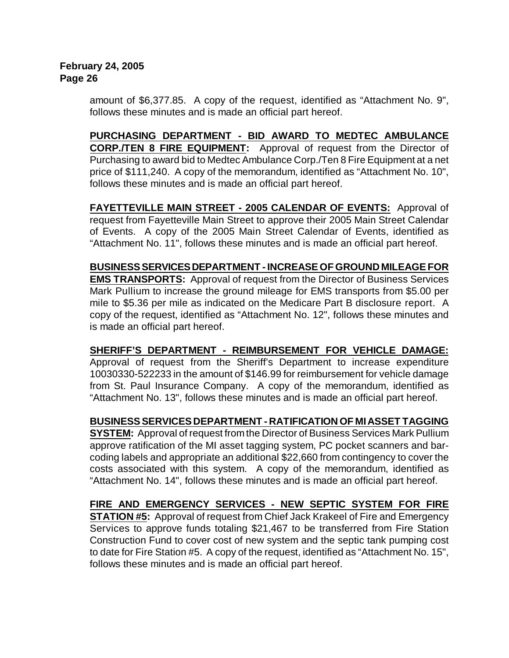amount of \$6,377.85. A copy of the request, identified as "Attachment No. 9", follows these minutes and is made an official part hereof.

**PURCHASING DEPARTMENT - BID AWARD TO MEDTEC AMBULANCE CORP./TEN 8 FIRE EQUIPMENT:** Approval of request from the Director of Purchasing to award bid to Medtec Ambulance Corp./Ten 8 Fire Equipment at a net price of \$111,240. A copy of the memorandum, identified as "Attachment No. 10", follows these minutes and is made an official part hereof.

**FAYETTEVILLE MAIN STREET - 2005 CALENDAR OF EVENTS:** Approval of request from Fayetteville Main Street to approve their 2005 Main Street Calendar of Events. A copy of the 2005 Main Street Calendar of Events, identified as "Attachment No. 11", follows these minutes and is made an official part hereof.

**BUSINESS SERVICES DEPARTMENT - INCREASE OF GROUND MILEAGE FOR EMS TRANSPORTS:** Approval of request from the Director of Business Services Mark Pullium to increase the ground mileage for EMS transports from \$5.00 per mile to \$5.36 per mile as indicated on the Medicare Part B disclosure report. A copy of the request, identified as "Attachment No. 12", follows these minutes and is made an official part hereof.

**SHERIFF'S DEPARTMENT - REIMBURSEMENT FOR VEHICLE DAMAGE:** Approval of request from the Sheriff's Department to increase expenditure 10030330-522233 in the amount of \$146.99 for reimbursement for vehicle damage from St. Paul Insurance Company. A copy of the memorandum, identified as "Attachment No. 13", follows these minutes and is made an official part hereof.

**BUSINESS SERVICES DEPARTMENT - RATIFICATION OF MI ASSET TAGGING**

**SYSTEM:** Approval of request from the Director of Business Services Mark Pullium approve ratification of the MI asset tagging system, PC pocket scanners and barcoding labels and appropriate an additional \$22,660 from contingency to cover the costs associated with this system. A copy of the memorandum, identified as "Attachment No. 14", follows these minutes and is made an official part hereof.

**FIRE AND EMERGENCY SERVICES - NEW SEPTIC SYSTEM FOR FIRE STATION #5:** Approval of request from Chief Jack Krakeel of Fire and Emergency Services to approve funds totaling \$21,467 to be transferred from Fire Station Construction Fund to cover cost of new system and the septic tank pumping cost to date for Fire Station #5. A copy of the request, identified as "Attachment No. 15", follows these minutes and is made an official part hereof.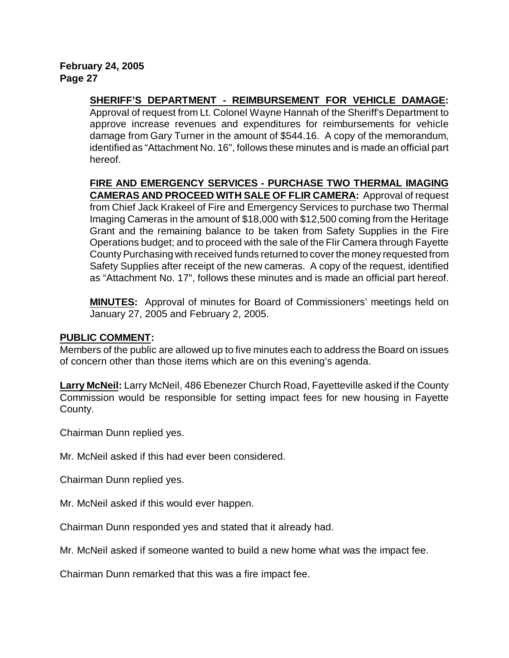**SHERIFF'S DEPARTMENT - REIMBURSEMENT FOR VEHICLE DAMAGE:** Approval of request from Lt. Colonel Wayne Hannah of the Sheriff's Department to approve increase revenues and expenditures for reimbursements for vehicle damage from Gary Turner in the amount of \$544.16. A copy of the memorandum, identified as "Attachment No. 16", follows these minutes and is made an official part hereof.

**FIRE AND EMERGENCY SERVICES - PURCHASE TWO THERMAL IMAGING CAMERAS AND PROCEED WITH SALE OF FLIR CAMERA:** Approval of request from Chief Jack Krakeel of Fire and Emergency Services to purchase two Thermal Imaging Cameras in the amount of \$18,000 with \$12,500 coming from the Heritage Grant and the remaining balance to be taken from Safety Supplies in the Fire Operations budget; and to proceed with the sale of the Flir Camera through Fayette County Purchasing with received funds returned to cover the money requested from Safety Supplies after receipt of the new cameras. A copy of the request, identified as "Attachment No. 17", follows these minutes and is made an official part hereof.

**MINUTES:** Approval of minutes for Board of Commissioners' meetings held on January 27, 2005 and February 2, 2005.

# **PUBLIC COMMENT:**

Members of the public are allowed up to five minutes each to address the Board on issues of concern other than those items which are on this evening's agenda.

**Larry McNeil:** Larry McNeil, 486 Ebenezer Church Road, Fayetteville asked if the County Commission would be responsible for setting impact fees for new housing in Fayette County.

Chairman Dunn replied yes.

Mr. McNeil asked if this had ever been considered.

Chairman Dunn replied yes.

Mr. McNeil asked if this would ever happen.

Chairman Dunn responded yes and stated that it already had.

Mr. McNeil asked if someone wanted to build a new home what was the impact fee.

Chairman Dunn remarked that this was a fire impact fee.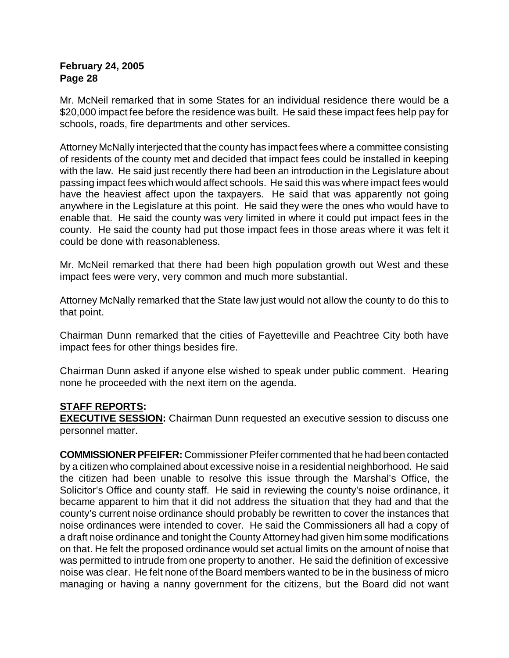Mr. McNeil remarked that in some States for an individual residence there would be a \$20,000 impact fee before the residence was built. He said these impact fees help pay for schools, roads, fire departments and other services.

Attorney McNally interjected that the county has impact fees where a committee consisting of residents of the county met and decided that impact fees could be installed in keeping with the law. He said just recently there had been an introduction in the Legislature about passing impact fees which would affect schools. He said this was where impact fees would have the heaviest affect upon the taxpayers. He said that was apparently not going anywhere in the Legislature at this point. He said they were the ones who would have to enable that. He said the county was very limited in where it could put impact fees in the county. He said the county had put those impact fees in those areas where it was felt it could be done with reasonableness.

Mr. McNeil remarked that there had been high population growth out West and these impact fees were very, very common and much more substantial.

Attorney McNally remarked that the State law just would not allow the county to do this to that point.

Chairman Dunn remarked that the cities of Fayetteville and Peachtree City both have impact fees for other things besides fire.

Chairman Dunn asked if anyone else wished to speak under public comment. Hearing none he proceeded with the next item on the agenda.

# **STAFF REPORTS:**

**EXECUTIVE SESSION:** Chairman Dunn requested an executive session to discuss one personnel matter.

**COMMISSIONER PFEIFER:** Commissioner Pfeifer commented that he had been contacted by a citizen who complained about excessive noise in a residential neighborhood. He said the citizen had been unable to resolve this issue through the Marshal's Office, the Solicitor's Office and county staff. He said in reviewing the county's noise ordinance, it became apparent to him that it did not address the situation that they had and that the county's current noise ordinance should probably be rewritten to cover the instances that noise ordinances were intended to cover. He said the Commissioners all had a copy of a draft noise ordinance and tonight the County Attorney had given him some modifications on that. He felt the proposed ordinance would set actual limits on the amount of noise that was permitted to intrude from one property to another. He said the definition of excessive noise was clear. He felt none of the Board members wanted to be in the business of micro managing or having a nanny government for the citizens, but the Board did not want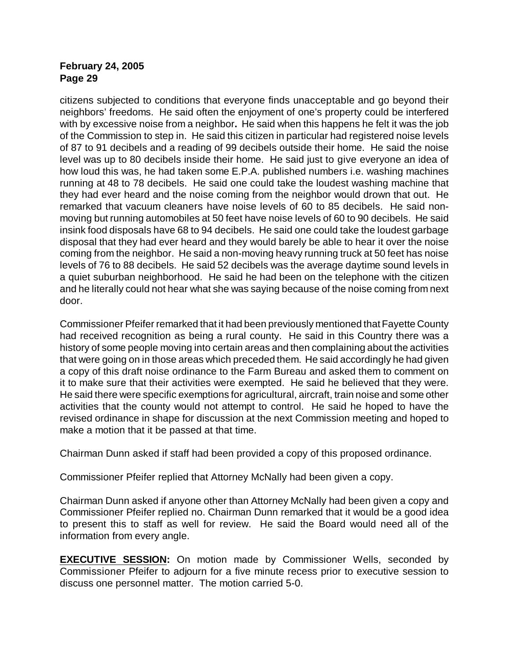citizens subjected to conditions that everyone finds unacceptable and go beyond their neighbors' freedoms. He said often the enjoyment of one's property could be interfered with by excessive noise from a neighbor**.** He said when this happens he felt it was the job of the Commission to step in. He said this citizen in particular had registered noise levels of 87 to 91 decibels and a reading of 99 decibels outside their home. He said the noise level was up to 80 decibels inside their home. He said just to give everyone an idea of how loud this was, he had taken some E.P.A. published numbers i.e. washing machines running at 48 to 78 decibels. He said one could take the loudest washing machine that they had ever heard and the noise coming from the neighbor would drown that out. He remarked that vacuum cleaners have noise levels of 60 to 85 decibels. He said nonmoving but running automobiles at 50 feet have noise levels of 60 to 90 decibels. He said insink food disposals have 68 to 94 decibels. He said one could take the loudest garbage disposal that they had ever heard and they would barely be able to hear it over the noise coming from the neighbor. He said a non-moving heavy running truck at 50 feet has noise levels of 76 to 88 decibels. He said 52 decibels was the average daytime sound levels in a quiet suburban neighborhood. He said he had been on the telephone with the citizen and he literally could not hear what she was saying because of the noise coming from next door.

Commissioner Pfeifer remarked that it had been previously mentioned that Fayette County had received recognition as being a rural county. He said in this Country there was a history of some people moving into certain areas and then complaining about the activities that were going on in those areas which preceded them. He said accordingly he had given a copy of this draft noise ordinance to the Farm Bureau and asked them to comment on it to make sure that their activities were exempted. He said he believed that they were. He said there were specific exemptions for agricultural, aircraft, train noise and some other activities that the county would not attempt to control. He said he hoped to have the revised ordinance in shape for discussion at the next Commission meeting and hoped to make a motion that it be passed at that time.

Chairman Dunn asked if staff had been provided a copy of this proposed ordinance.

Commissioner Pfeifer replied that Attorney McNally had been given a copy.

Chairman Dunn asked if anyone other than Attorney McNally had been given a copy and Commissioner Pfeifer replied no. Chairman Dunn remarked that it would be a good idea to present this to staff as well for review. He said the Board would need all of the information from every angle.

**EXECUTIVE SESSION:** On motion made by Commissioner Wells, seconded by Commissioner Pfeifer to adjourn for a five minute recess prior to executive session to discuss one personnel matter. The motion carried 5-0.